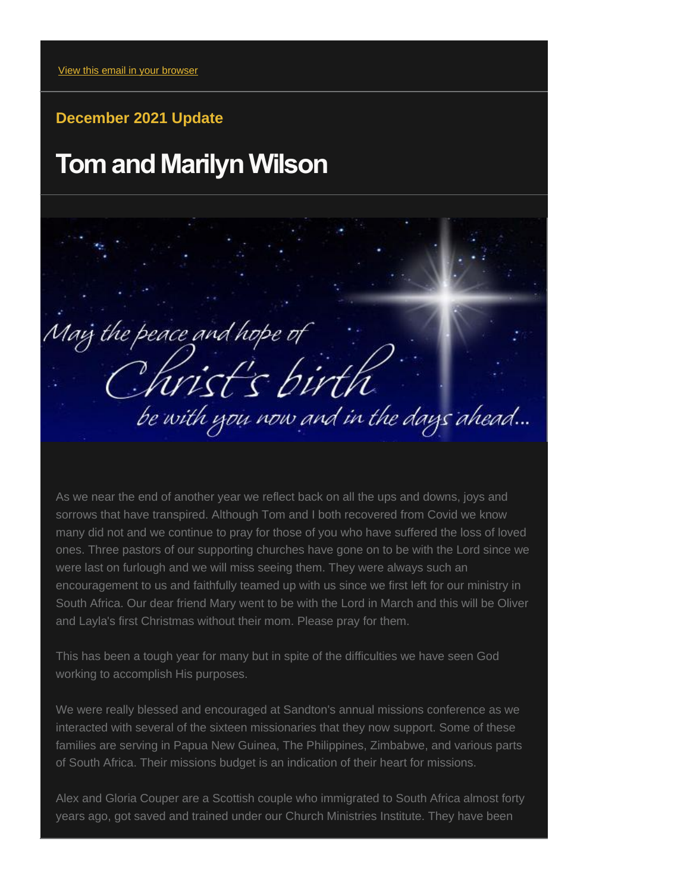## **December 2021 Update**

## **Tom and Marilyn Wilson**

Maig the peace and hope of be with you now and in the days ahead...

As we near the end of another year we reflect back on all the ups and downs, joys and sorrows that have transpired. Although Tom and I both recovered from Covid we know many did not and we continue to pray for those of you who have suffered the loss of loved ones. Three pastors of our supporting churches have gone on to be with the Lord since we were last on furlough and we will miss seeing them. They were always such an encouragement to us and faithfully teamed up with us since we first left for our ministry in South Africa. Our dear friend Mary went to be with the Lord in March and this will be Oliver and Layla's first Christmas without their mom. Please pray for them.

This has been a tough year for many but in spite of the difficulties we have seen God working to accomplish His purposes.

We were really blessed and encouraged at Sandton's annual missions conference as we interacted with several of the sixteen missionaries that they now support. Some of these families are serving in Papua New Guinea, The Philippines, Zimbabwe, and various parts of South Africa. Their missions budget is an indication of their heart for missions.

Alex and Gloria Couper are a Scottish couple who immigrated to South Africa almost forty years ago, got saved and trained under our Church Ministries Institute. They have been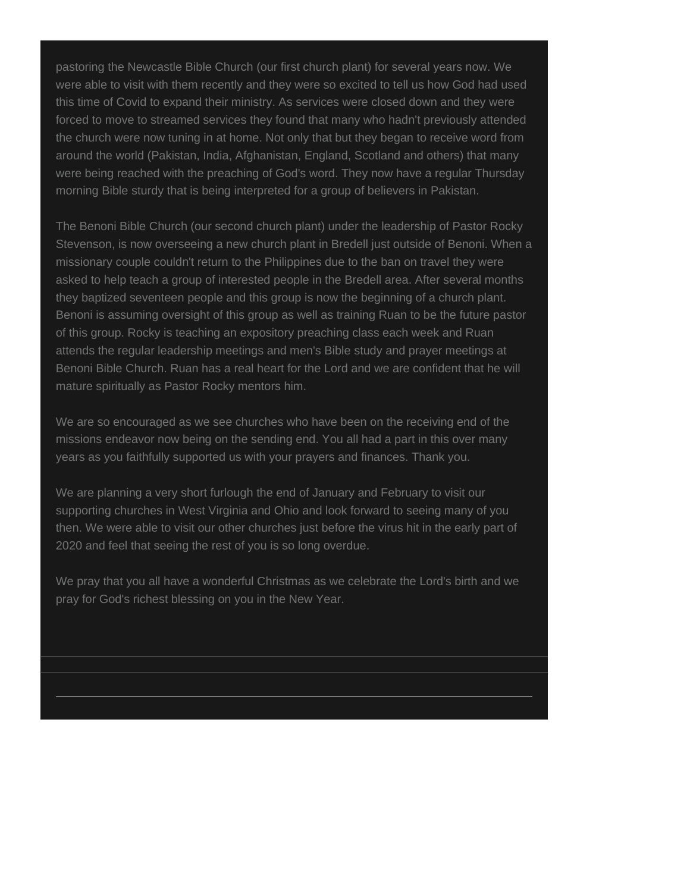pastoring the Newcastle Bible Church (our first church plant) for several years now. We were able to visit with them recently and they were so excited to tell us how God had used this time of Covid to expand their ministry. As services were closed down and they were forced to move to streamed services they found that many who hadn't previously attended the church were now tuning in at home. Not only that but they began to receive word from around the world (Pakistan, India, Afghanistan, England, Scotland and others) that many were being reached with the preaching of God's word. They now have a regular Thursday morning Bible sturdy that is being interpreted for a group of believers in Pakistan.

The Benoni Bible Church (our second church plant) under the leadership of Pastor Rocky Stevenson, is now overseeing a new church plant in Bredell just outside of Benoni. When a missionary couple couldn't return to the Philippines due to the ban on travel they were asked to help teach a group of interested people in the Bredell area. After several months they baptized seventeen people and this group is now the beginning of a church plant. Benoni is assuming oversight of this group as well as training Ruan to be the future pastor of this group. Rocky is teaching an expository preaching class each week and Ruan attends the regular leadership meetings and men's Bible study and prayer meetings at Benoni Bible Church. Ruan has a real heart for the Lord and we are confident that he will mature spiritually as Pastor Rocky mentors him.

We are so encouraged as we see churches who have been on the receiving end of the missions endeavor now being on the sending end. You all had a part in this over many years as you faithfully supported us with your prayers and finances. Thank you.

We are planning a very short furlough the end of January and February to visit our supporting churches in West Virginia and Ohio and look forward to seeing many of you then. We were able to visit our other churches just before the virus hit in the early part of 2020 and feel that seeing the rest of you is so long overdue.

We pray that you all have a wonderful Christmas as we celebrate the Lord's birth and we pray for God's richest blessing on you in the New Year.